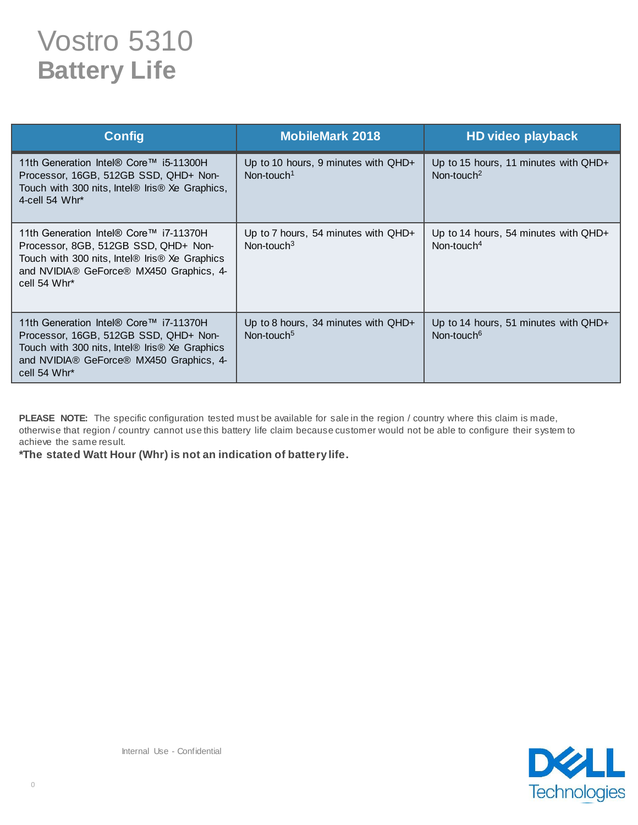## Vostro 5310 **Battery Life**

| <b>Config</b>                                                                                                                                                                               | <b>MobileMark 2018</b>                                          | HD video playback                                              |
|---------------------------------------------------------------------------------------------------------------------------------------------------------------------------------------------|-----------------------------------------------------------------|----------------------------------------------------------------|
| 11th Generation Intel® Core™ i5-11300H<br>Processor, 16GB, 512GB SSD, QHD+ Non-<br>Touch with 300 nits, Intel® Iris® Xe Graphics,<br>4-cell 54 $Whr^*$                                      | Up to 10 hours, 9 minutes with $QHD+$<br>Non-touch <sup>1</sup> | Up to 15 hours, 11 minutes with QHD+<br>Non-touch <sup>2</sup> |
| 11th Generation Intel® Core™ i7-11370H<br>Processor, 8GB, 512GB SSD, QHD+ Non-<br>Touch with 300 nits, Intel® Iris® Xe Graphics<br>and NVIDIA® GeForce® MX450 Graphics, 4-<br>cell 54 Whr*  | Up to 7 hours, 54 minutes with $QHD+$<br>Non-touch $3$          | Up to 14 hours, 54 minutes with QHD+<br>Non-touch <sup>4</sup> |
| 11th Generation Intel® Core™ i7-11370H<br>Processor, 16GB, 512GB SSD, QHD+ Non-<br>Touch with 300 nits, Intel® Iris® Xe Graphics<br>and NVIDIA® GeForce® MX450 Graphics, 4-<br>cell 54 Whr* | Up to 8 hours, 34 minutes with QHD+<br>Non-touch <sup>5</sup>   | Up to 14 hours, 51 minutes with QHD+<br>Non-touch <sup>6</sup> |

PLEASE NOTE: The specific configuration tested must be available for sale in the region / country where this claim is made, otherwise that region / country cannot use this battery life claim because customer would not be able to configure their system to achieve the same result.

**\*The stated Watt Hour (Whr) is not an indication of battery life.**